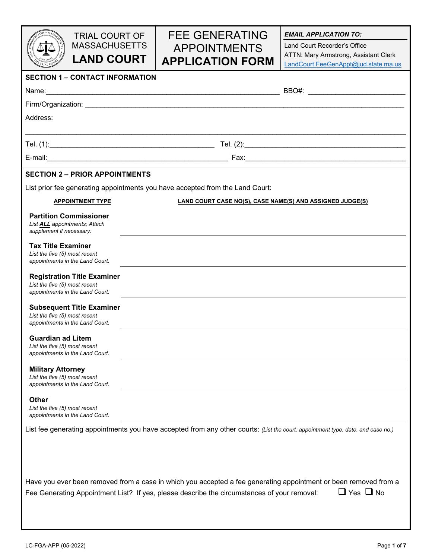|                                                                  | <b>TRIAL COURT OF</b>                                                                       |  | <b>FEE GENERATING</b>                                                                                                            | <b>EMAIL APPLICATION TO:</b>                                                                                                             |  |  |
|------------------------------------------------------------------|---------------------------------------------------------------------------------------------|--|----------------------------------------------------------------------------------------------------------------------------------|------------------------------------------------------------------------------------------------------------------------------------------|--|--|
|                                                                  | <b>MASSACHUSETTS</b><br><b>LAND COURT</b>                                                   |  | <b>APPOINTMENTS</b><br><b>APPLICATION FORM</b>                                                                                   | Land Court Recorder's Office<br>ATTN: Mary Armstrong, Assistant Clerk<br>LandCourt.FeeGenAppt@jud.state.ma.us                            |  |  |
|                                                                  | <b>SECTION 1 - CONTACT INFORMATION</b>                                                      |  |                                                                                                                                  |                                                                                                                                          |  |  |
|                                                                  |                                                                                             |  |                                                                                                                                  |                                                                                                                                          |  |  |
|                                                                  |                                                                                             |  |                                                                                                                                  |                                                                                                                                          |  |  |
| Address:                                                         |                                                                                             |  |                                                                                                                                  |                                                                                                                                          |  |  |
|                                                                  |                                                                                             |  |                                                                                                                                  |                                                                                                                                          |  |  |
|                                                                  |                                                                                             |  |                                                                                                                                  |                                                                                                                                          |  |  |
|                                                                  | <b>SECTION 2 - PRIOR APPOINTMENTS</b>                                                       |  |                                                                                                                                  |                                                                                                                                          |  |  |
|                                                                  |                                                                                             |  | List prior fee generating appointments you have accepted from the Land Court:                                                    |                                                                                                                                          |  |  |
|                                                                  | <b>APPOINTMENT TYPE</b><br><b>LAND COURT CASE NO(S), CASE NAME(S) AND ASSIGNED JUDGE(S)</b> |  |                                                                                                                                  |                                                                                                                                          |  |  |
| List <b>ALL</b> appointments; Attach<br>supplement if necessary. | <b>Partition Commissioner</b>                                                               |  |                                                                                                                                  |                                                                                                                                          |  |  |
| <b>Tax Title Examiner</b><br>List the five (5) most recent       | appointments in the Land Court.                                                             |  |                                                                                                                                  |                                                                                                                                          |  |  |
| List the five (5) most recent                                    | <b>Registration Title Examiner</b><br>appointments in the Land Court.                       |  |                                                                                                                                  |                                                                                                                                          |  |  |
| List the five (5) most recent                                    | <b>Subsequent Title Examiner</b><br>appointments in the Land Court.                         |  |                                                                                                                                  |                                                                                                                                          |  |  |
| <b>Guardian ad Litem</b><br>List the five (5) most recent        | appointments in the Land Court.                                                             |  |                                                                                                                                  |                                                                                                                                          |  |  |
| <b>Military Attorney</b><br>List the five (5) most recent        | appointments in the Land Court.                                                             |  |                                                                                                                                  |                                                                                                                                          |  |  |
| <b>Other</b><br>List the five (5) most recent                    | appointments in the Land Court.                                                             |  |                                                                                                                                  |                                                                                                                                          |  |  |
|                                                                  |                                                                                             |  | List fee generating appointments you have accepted from any other courts: (List the court, appointment type, date, and case no.) |                                                                                                                                          |  |  |
|                                                                  |                                                                                             |  | Fee Generating Appointment List? If yes, please describe the circumstances of your removal:                                      | Have you ever been removed from a case in which you accepted a fee generating appointment or been removed from a<br>$\Box$ Yes $\Box$ No |  |  |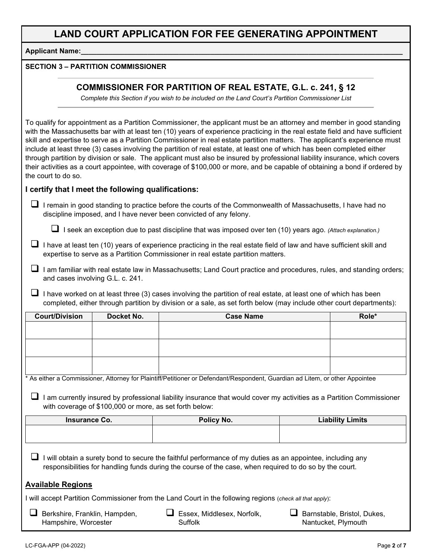**Applicant Name:** 

#### **SECTION 3 – PARTITION COMMISSIONER**

### **COMMISSIONER FOR PARTITION OF REAL ESTATE, G.L. c. 241, § 12**

*Complete this Section if you wish to be included on the Land Court's Partition Commissioner List*

To qualify for appointment as a Partition Commissioner, the applicant must be an attorney and member in good standing with the Massachusetts bar with at least ten (10) years of experience practicing in the real estate field and have sufficient skill and expertise to serve as a Partition Commissioner in real estate partition matters. The applicant's experience must include at least three (3) cases involving the partition of real estate, at least one of which has been completed either through partition by division or sale. The applicant must also be insured by professional liability insurance, which covers their activities as a court appointee, with coverage of \$100,000 or more, and be capable of obtaining a bond if ordered by the court to do so.

#### **I certify that I meet the following qualifications:**

 $\Box$  I remain in good standing to practice before the courts of the Commonwealth of Massachusetts, I have had no discipline imposed, and I have never been convicted of any felony.

I seek an exception due to past discipline that was imposed over ten (10) years ago. *(Attach explanation.)*

- $\Box$  I have at least ten (10) years of experience practicing in the real estate field of law and have sufficient skill and expertise to serve as a Partition Commissioner in real estate partition matters.
- $\Box$  I am familiar with real estate law in Massachusetts; Land Court practice and procedures, rules, and standing orders; and cases involving G.L. c. 241.
- $\Box$  I have worked on at least three (3) cases involving the partition of real estate, at least one of which has been completed, either through partition by division or a sale, as set forth below (may include other court departments):

| <b>Court/Division</b>    | Docket No.                                              | <b>Case Name</b>                                                                                                                                                                                                    | Role*                   |  |
|--------------------------|---------------------------------------------------------|---------------------------------------------------------------------------------------------------------------------------------------------------------------------------------------------------------------------|-------------------------|--|
|                          |                                                         |                                                                                                                                                                                                                     |                         |  |
|                          |                                                         |                                                                                                                                                                                                                     |                         |  |
|                          |                                                         |                                                                                                                                                                                                                     |                         |  |
|                          |                                                         |                                                                                                                                                                                                                     |                         |  |
|                          |                                                         |                                                                                                                                                                                                                     |                         |  |
|                          |                                                         | * As either a Commissioner, Attorney for Plaintiff/Petitioner or Defendant/Respondent, Guardian ad Litem, or other Appointee                                                                                        |                         |  |
|                          | with coverage of \$100,000 or more, as set forth below: | am currently insured by professional liability insurance that would cover my activities as a Partition Commissioner                                                                                                 |                         |  |
| Insurance Co.            |                                                         | Policy No.                                                                                                                                                                                                          | <b>Liability Limits</b> |  |
|                          |                                                         |                                                                                                                                                                                                                     |                         |  |
|                          |                                                         |                                                                                                                                                                                                                     |                         |  |
|                          |                                                         | will obtain a surety bond to secure the faithful performance of my duties as an appointee, including any<br>responsibilities for handling funds during the course of the case, when required to do so by the court. |                         |  |
| <b>Available Regions</b> |                                                         |                                                                                                                                                                                                                     |                         |  |

I will accept Partition Commissioner from the Land Court in the following regions (*check all that apply*):

| $\Box$ Berkshire, Franklin, Hampden, | $\Box$ Essex, Middlesex, Norfolk, | $\Box$ Barnstable, Bristol, Dukes, |
|--------------------------------------|-----------------------------------|------------------------------------|
| Hampshire, Worcester                 | Suffolk                           | Nantucket, Plymouth                |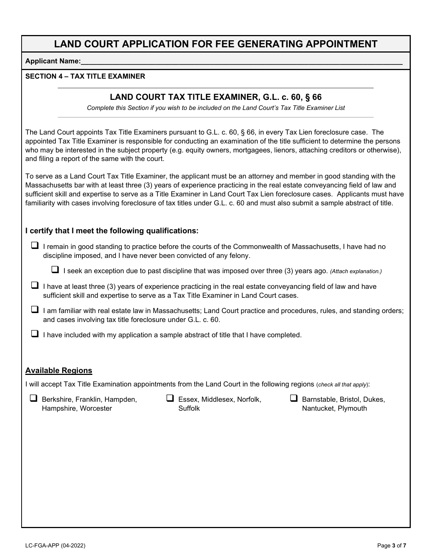**Applicant Name:** 

#### **SECTION 4 – TAX TITLE EXAMINER**

### **LAND COURT TAX TITLE EXAMINER, G.L. c. 60, § 66**

*Complete this Section if you wish to be included on the Land Court's Tax Title Examiner List*

The Land Court appoints Tax Title Examiners pursuant to G.L. c. 60, § 66, in every Tax Lien foreclosure case. The appointed Tax Title Examiner is responsible for conducting an examination of the title sufficient to determine the persons who may be interested in the subject property (e.g. equity owners, mortgagees, lienors, attaching creditors or otherwise), and filing a report of the same with the court.

To serve as a Land Court Tax Title Examiner, the applicant must be an attorney and member in good standing with the Massachusetts bar with at least three (3) years of experience practicing in the real estate conveyancing field of law and sufficient skill and expertise to serve as a Title Examiner in Land Court Tax Lien foreclosure cases. Applicants must have familiarity with cases involving foreclosure of tax titles under G.L. c. 60 and must also submit a sample abstract of title.

#### **I certify that I meet the following qualifications:**

 I remain in good standing to practice before the courts of the Commonwealth of Massachusetts, I have had no discipline imposed, and I have never been convicted of any felony.

I seek an exception due to past discipline that was imposed over three (3) years ago. *(Attach explanation.)*

- $\Box$  I have at least three (3) years of experience practicing in the real estate conveyancing field of law and have sufficient skill and expertise to serve as a Tax Title Examiner in Land Court cases.
- $\Box$  I am familiar with real estate law in Massachusetts; Land Court practice and procedures, rules, and standing orders; and cases involving tax title foreclosure under G.L. c. 60.

 $\Box$  I have included with my application a sample abstract of title that I have completed.

#### **Available Regions**

I will accept Tax Title Examination appointments from the Land Court in the following regions (*check all that apply*):

Berkshire, Franklin, Hampden, Hampshire, Worcester

 Essex, Middlesex, Norfolk, Suffolk

Barnstable, Bristol, Dukes, Nantucket, Plymouth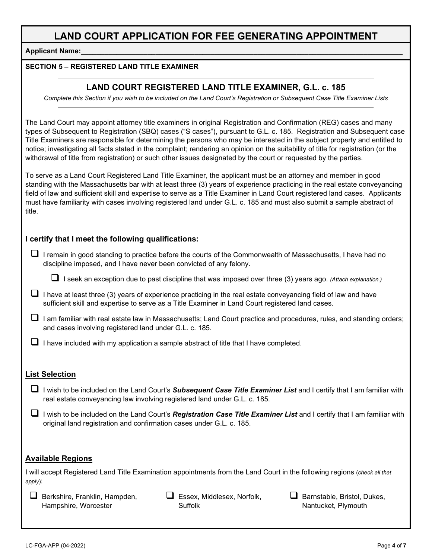**Applicant Name:** 

#### **SECTION 5 – REGISTERED LAND TITLE EXAMINER**

### **LAND COURT REGISTERED LAND TITLE EXAMINER, G.L. c. 185**

*Complete this Section if you wish to be included on the Land Court's Registration or Subsequent Case Title Examiner Lists*

The Land Court may appoint attorney title examiners in original Registration and Confirmation (REG) cases and many types of Subsequent to Registration (SBQ) cases ("S cases"), pursuant to G.L. c. 185. Registration and Subsequent case Title Examiners are responsible for determining the persons who may be interested in the subject property and entitled to notice; investigating all facts stated in the complaint; rendering an opinion on the suitability of title for registration (or the withdrawal of title from registration) or such other issues designated by the court or requested by the parties.

To serve as a Land Court Registered Land Title Examiner, the applicant must be an attorney and member in good standing with the Massachusetts bar with at least three (3) years of experience practicing in the real estate conveyancing field of law and sufficient skill and expertise to serve as a Title Examiner in Land Court registered land cases. Applicants must have familiarity with cases involving registered land under G.L. c. 185 and must also submit a sample abstract of title.

#### **I certify that I meet the following qualifications:**

 I remain in good standing to practice before the courts of the Commonwealth of Massachusetts, I have had no discipline imposed, and I have never been convicted of any felony.

I seek an exception due to past discipline that was imposed over three (3) years ago. *(Attach explanation.)*

- $\Box$  I have at least three (3) years of experience practicing in the real estate conveyancing field of law and have sufficient skill and expertise to serve as a Title Examiner in Land Court registered land cases.
- $\Box$  I am familiar with real estate law in Massachusetts; Land Court practice and procedures, rules, and standing orders; and cases involving registered land under G.L. c. 185.

 $\Box$  I have included with my application a sample abstract of title that I have completed.

#### **List Selection**

- I wish to be included on the Land Court's *Subsequent Case Title Examiner List* and I certify that I am familiar with real estate conveyancing law involving registered land under G.L. c. 185.
- I wish to be included on the Land Court's *Registration Case Title Examiner List* and I certify that I am familiar with original land registration and confirmation cases under G.L. c. 185.

#### **Available Regions**

I will accept Registered Land Title Examination appointments from the Land Court in the following regions (*check all that apply*):

| $\Box$ Berkshire, Franklin, Hampden, |
|--------------------------------------|
| Hampshire, Worcester                 |

 $\Box$  Essex, Middlesex, Norfolk, Suffolk

 $\Box$  Barnstable, Bristol, Dukes, Nantucket, Plymouth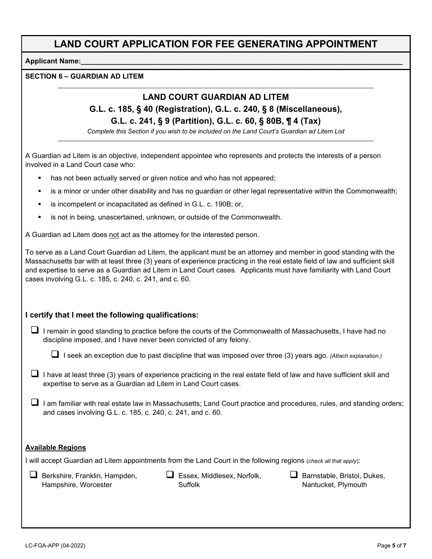#### **Applicant Name:\_\_\_\_\_\_\_\_\_\_\_\_\_\_\_\_\_\_\_\_\_\_\_\_\_\_\_\_\_\_\_\_\_\_\_\_\_\_\_\_\_\_\_\_\_\_\_\_\_\_\_\_\_\_\_\_\_\_\_\_\_\_\_\_\_\_\_\_\_\_\_\_\_\_\_\_\_\_\_\_\_\_**

#### **SECTION 6 – GUARDIAN AD LITEM**

### **LAND COURT GUARDIAN AD LITEM**

## **G.L. c. 185, § 40 (Registration), G.L. c. 240, § 8 (Miscellaneous), G.L. c. 241, § 9 (Partition), G.L. c. 60, § 80B, ¶ 4 (Tax)**

*Complete this Section if you wish to be included on the Land Court's Guardian ad Litem List*

A Guardian ad Litem is an objective, independent appointee who represents and protects the interests of a person involved in a Land Court case who:

- has not been actually served or given notice and who has not appeared;
- is a minor or under other disability and has no guardian or other legal representative within the Commonwealth;
- is incompetent or incapacitated as defined in G.L. c. 190B; or,
- is not in being, unascertained, unknown, or outside of the Commonwealth.

A Guardian ad Litem does not act as the attorney for the interested person.

To serve as a Land Court Guardian ad Litem, the applicant must be an attorney and member in good standing with the Massachusetts bar with at least three (3) years of experience practicing in the real estate field of law and sufficient skill and expertise to serve as a Guardian ad Litem in Land Court cases. Applicants must have familiarity with Land Court cases involving G.L. c. 185, c. 240, c. 241, and c. 60.

#### **I certify that I meet the following qualifications:**

 $\Box$  I remain in good standing to practice before the courts of the Commonwealth of Massachusetts, I have had no discipline imposed, and I have never been convicted of any felony.

I seek an exception due to past discipline that was imposed over three (3) years ago. *(Attach explanation.)*

- I have at least three (3) years of experience practicing in the real estate field of law and have sufficient skill and expertise to serve as a Guardian ad Litem in Land Court cases.
- $\Box$  I am familiar with real estate law in Massachusetts; Land Court practice and procedures, rules, and standing orders; and cases involving G.L. c. 185, c. 240, c. 241, and c. 60.

#### **Available Regions**

I will accept Guardian ad Litem appointments from the Land Court in the following regions (*check all that apply*):

 $\Box$  Berkshire, Franklin, Hampden, Hampshire, Worcester

 Essex, Middlesex, Norfolk, Suffolk

 $\Box$  Barnstable, Bristol, Dukes, Nantucket, Plymouth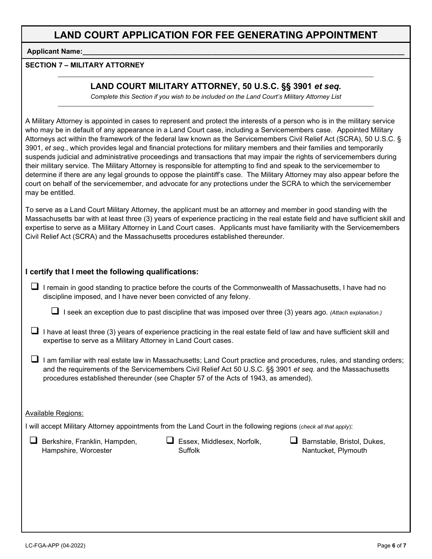**Applicant Name:** 

#### **SECTION 7 – MILITARY ATTORNEY**

### **LAND COURT MILITARY ATTORNEY, 50 U.S.C. §§ 3901** *et seq.*

*Complete this Section if you wish to be included on the Land Court's Military Attorney List*

A Military Attorney is appointed in cases to represent and protect the interests of a person who is in the military service who may be in default of any appearance in a Land Court case, including a Servicemembers case. Appointed Military Attorneys act within the framework of the federal law known as the Servicemembers Civil Relief Act (SCRA), 50 U.S.C. § 3901, *et seq.*, which provides legal and financial protections for military members and their families and temporarily suspends judicial and administrative proceedings and transactions that may impair the rights of servicemembers during their military service. The Military Attorney is responsible for attempting to find and speak to the servicemember to determine if there are any legal grounds to oppose the plaintiff's case. The Military Attorney may also appear before the court on behalf of the servicemember, and advocate for any protections under the SCRA to which the servicemember may be entitled.

To serve as a Land Court Military Attorney, the applicant must be an attorney and member in good standing with the Massachusetts bar with at least three (3) years of experience practicing in the real estate field and have sufficient skill and expertise to serve as a Military Attorney in Land Court cases. Applicants must have familiarity with the Servicemembers Civil Relief Act (SCRA) and the Massachusetts procedures established thereunder.

#### **I certify that I meet the following qualifications:**

 $\Box$  I remain in good standing to practice before the courts of the Commonwealth of Massachusetts, I have had no discipline imposed, and I have never been convicted of any felony.

I seek an exception due to past discipline that was imposed over three (3) years ago. *(Attach explanation.)*

- I have at least three (3) years of experience practicing in the real estate field of law and have sufficient skill and expertise to serve as a Military Attorney in Land Court cases.
- $\Box$  I am familiar with real estate law in Massachusetts; Land Court practice and procedures, rules, and standing orders; and the requirements of the Servicemembers Civil Relief Act 50 U.S.C. §§ 3901 *et seq.* and the Massachusetts procedures established thereunder (see Chapter 57 of the Acts of 1943, as amended).

#### Available Regions:

I will accept Military Attorney appointments from the Land Court in the following regions (*check all that apply*):

 $\Box$  Berkshire, Franklin, Hampden, Hampshire, Worcester

 $\Box$  Essex, Middlesex, Norfolk, Suffolk

 $\Box$  Barnstable, Bristol, Dukes, Nantucket, Plymouth